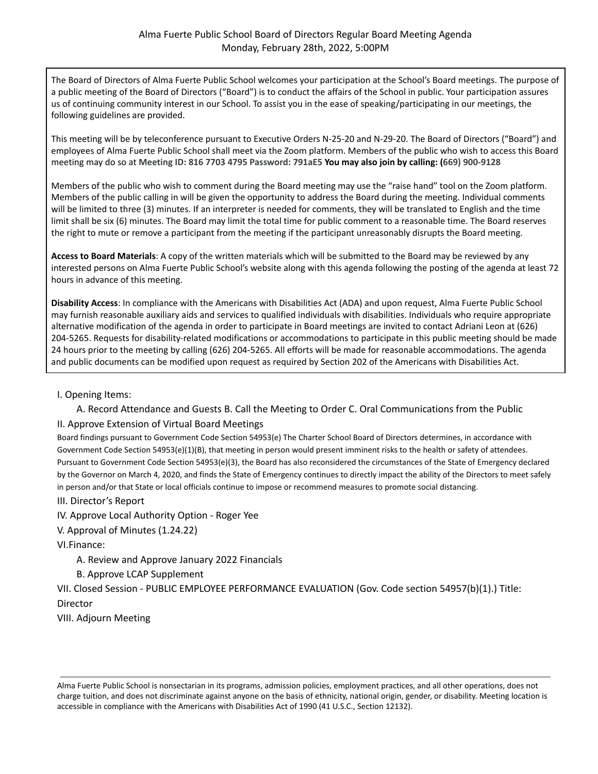The Board of Directors of Alma Fuerte Public School welcomes your participation at the School's Board meetings. The purpose of a public meeting of the Board of Directors ("Board") is to conduct the affairs of the School in public. Your participation assures us of continuing community interest in our School. To assist you in the ease of speaking/participating in our meetings, the following guidelines are provided.

This meeting will be by teleconference pursuant to Executive Orders N-25-20 and N-29-20. The Board of Directors ("Board") and employees of Alma Fuerte Public School shall meet via the Zoom platform. Members of the public who wish to access this Board meeting may do so at **Meeting ID: 816 7703 4795 Password: 791aE5 You may also join by calling: (669) 900-9128**

Members of the public who wish to comment during the Board meeting may use the "raise hand" tool on the Zoom platform. Members of the public calling in will be given the opportunity to address the Board during the meeting. Individual comments will be limited to three (3) minutes. If an interpreter is needed for comments, they will be translated to English and the time limit shall be six (6) minutes. The Board may limit the total time for public comment to a reasonable time. The Board reserves the right to mute or remove a participant from the meeting if the participant unreasonably disrupts the Board meeting.

**Access to Board Materials**: A copy of the written materials which will be submitted to the Board may be reviewed by any interested persons on Alma Fuerte Public School's website along with this agenda following the posting of the agenda at least 72 hours in advance of this meeting.

**Disability Access**: In compliance with the Americans with Disabilities Act (ADA) and upon request, Alma Fuerte Public School may furnish reasonable auxiliary aids and services to qualified individuals with disabilities. Individuals who require appropriate alternative modification of the agenda in order to participate in Board meetings are invited to contact Adriani Leon at (626) 204-5265. Requests for disability-related modifications or accommodations to participate in this public meeting should be made 24 hours prior to the meeting by calling (626) 204-5265. All efforts will be made for reasonable accommodations. The agenda and public documents can be modified upon request as required by Section 202 of the Americans with Disabilities Act.

I. Opening Items:

A. Record Attendance and Guests B. Call the Meeting to Order C. Oral Communications from the Public

## II. Approve Extension of Virtual Board Meetings

Board findings pursuant to Government Code Section 54953(e) The Charter School Board of Directors determines, in accordance with Government Code Section 54953(e)(1)(B), that meeting in person would present imminent risks to the health or safety of attendees. Pursuant to Government Code Section 54953(e)(3), the Board has also reconsidered the circumstances of the State of Emergency declared by the Governor on March 4, 2020, and finds the State of Emergency continues to directly impact the ability of the Directors to meet safely in person and/or that State or local officials continue to impose or recommend measures to promote social distancing.

III. Director's Report

IV. Approve Local Authority Option - Roger Yee

V. Approval of Minutes (1.24.22)

VI.Finance:

A. Review and Approve January 2022 Financials

B. Approve LCAP Supplement

VII. Closed Session - PUBLIC EMPLOYEE PERFORMANCE EVALUATION (Gov. Code section 54957(b)(1).) Title: Director

VIII. Adjourn Meeting

Alma Fuerte Public School is nonsectarian in its programs, admission policies, employment practices, and all other operations, does not charge tuition, and does not discriminate against anyone on the basis of ethnicity, national origin, gender, or disability. Meeting location is accessible in compliance with the Americans with Disabilities Act of 1990 (41 U.S.C., Section 12132).